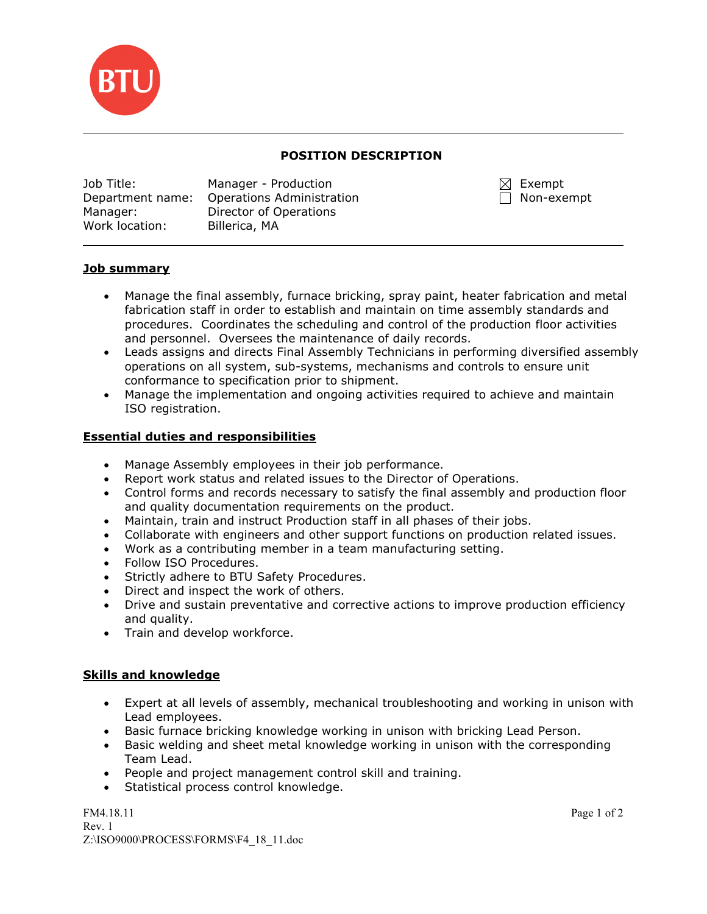

### POSITION DESCRIPTION

| Job Title:       | Manager - Production      |
|------------------|---------------------------|
| Department name: | Operations Administration |
| Manager:         | Director of Operations    |
| Work location:   | Billerica, MA             |

 $\boxtimes$  Exempt  $\Box$  Non-exempt

## Job summary

 $\overline{\phantom{0}}$ 

- Manage the final assembly, furnace bricking, spray paint, heater fabrication and metal fabrication staff in order to establish and maintain on time assembly standards and procedures. Coordinates the scheduling and control of the production floor activities and personnel. Oversees the maintenance of daily records.
- Leads assigns and directs Final Assembly Technicians in performing diversified assembly operations on all system, sub-systems, mechanisms and controls to ensure unit conformance to specification prior to shipment.
- Manage the implementation and ongoing activities required to achieve and maintain ISO registration.

### Essential duties and responsibilities

- Manage Assembly employees in their job performance.
- Report work status and related issues to the Director of Operations.
- Control forms and records necessary to satisfy the final assembly and production floor and quality documentation requirements on the product.
- Maintain, train and instruct Production staff in all phases of their jobs.
- Collaborate with engineers and other support functions on production related issues.
- Work as a contributing member in a team manufacturing setting.
- Follow ISO Procedures.
- Strictly adhere to BTU Safety Procedures.
- Direct and inspect the work of others.
- Drive and sustain preventative and corrective actions to improve production efficiency and quality.
- Train and develop workforce.

### Skills and knowledge

- Expert at all levels of assembly, mechanical troubleshooting and working in unison with Lead employees.
- Basic furnace bricking knowledge working in unison with bricking Lead Person.
- Basic welding and sheet metal knowledge working in unison with the corresponding Team Lead.
- People and project management control skill and training.
- Statistical process control knowledge.